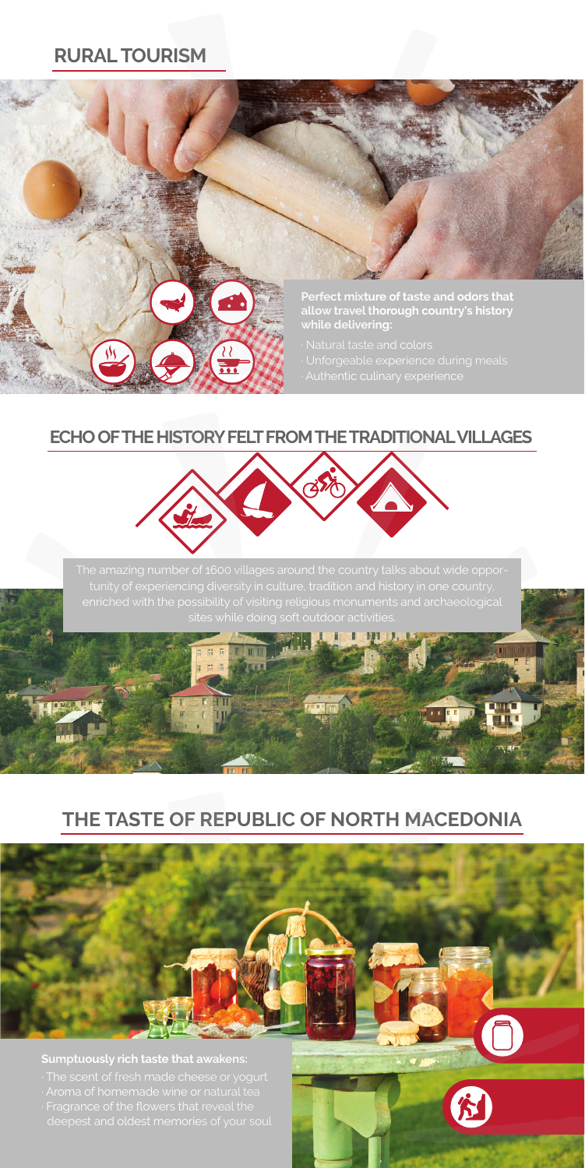## **RURAL TOURISM**





The amazing number of 1600 villages around the country talks about wide opporenriched with the possibility of visiting religious monuments and archaeological

> HT Ш

# **THE TASTE OF REPUBLIC OF NORTH MACEDONIA**

### **Sumptuously rich taste that awakens:**

· Fragrance of the flowers that reveal the